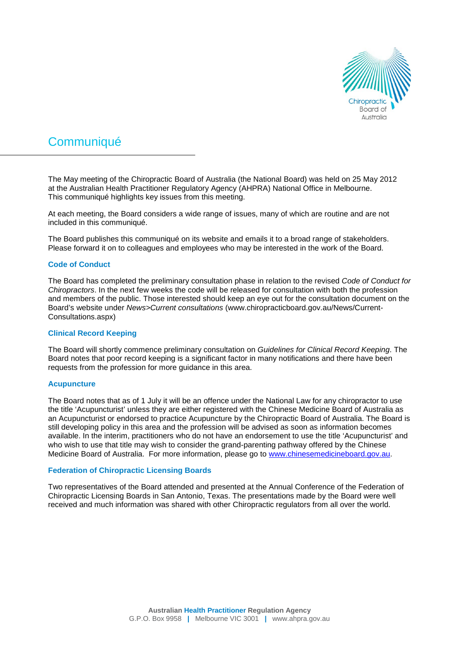

# **Communiqué**

The May meeting of the Chiropractic Board of Australia (the National Board) was held on 25 May 2012 at the Australian Health Practitioner Regulatory Agency (AHPRA) National Office in Melbourne. This communiqué highlights key issues from this meeting.

At each meeting, the Board considers a wide range of issues, many of which are routine and are not included in this communiqué.

The Board publishes this communiqué on its website and emails it to a broad range of stakeholders. Please forward it on to colleagues and employees who may be interested in the work of the Board.

## **Code of Conduct**

The Board has completed the preliminary consultation phase in relation to the revised *Code of Conduct for Chiropractors*. In the next few weeks the code will be released for consultation with both the profession and members of the public. Those interested should keep an eye out for the consultation document on the Board's website under *News>Current consultations* (www.chiropracticboard.gov.au/News/Current-Consultations.aspx)

#### **Clinical Record Keeping**

The Board will shortly commence preliminary consultation on *Guidelines for Clinical Record Keeping*. The Board notes that poor record keeping is a significant factor in many notifications and there have been requests from the profession for more guidance in this area.

#### **Acupuncture**

The Board notes that as of 1 July it will be an offence under the National Law for any chiropractor to use the title 'Acupuncturist' unless they are either registered with the Chinese Medicine Board of Australia as an Acupuncturist or endorsed to practice Acupuncture by the Chiropractic Board of Australia. The Board is still developing policy in this area and the profession will be advised as soon as information becomes available. In the interim, practitioners who do not have an endorsement to use the title 'Acupuncturist' and who wish to use that title may wish to consider the grand-parenting pathway offered by the Chinese Medicine Board of Australia. For more information, please go to [www.chinesemedicineboard.gov.au.](http://www.chinesemedicineboard.gov.au/)

## **Federation of Chiropractic Licensing Boards**

Two representatives of the Board attended and presented at the Annual Conference of the Federation of Chiropractic Licensing Boards in San Antonio, Texas. The presentations made by the Board were well received and much information was shared with other Chiropractic regulators from all over the world.